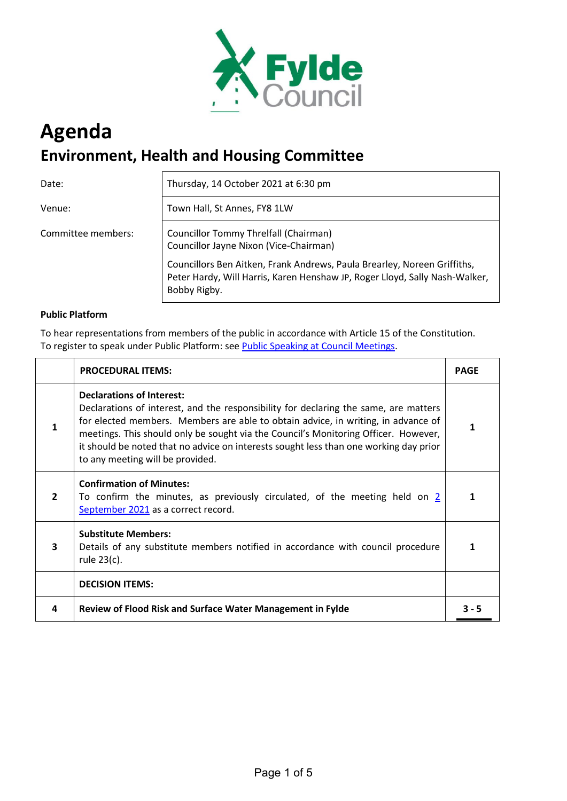

# **Agenda Environment, Health and Housing Committee**

Date: Thursday, 14 October 2021 at 6:30 pm

Venue:  $|$  Town Hall, St Annes, FY8 1LW

Committee members: Councillor Tommy Threlfall (Chairman) Councillor Jayne Nixon (Vice-Chairman)

> Councillors Ben Aitken, Frank Andrews, Paula Brearley, Noreen Griffiths, Peter Hardy, Will Harris, Karen Henshaw JP, Roger Lloyd, Sally Nash-Walker, Bobby Rigby.

## **Public Platform**

To hear representations from members of the public in accordance with Article 15 of the Constitution. To register to speak under Public Platform: see [Public Speaking at Council Meetings.](http://fylde.cmis.uk.com/fylde/DocumentsandInformation/PublicDocumentsandInformation.aspx)

|                | <b>PROCEDURAL ITEMS:</b>                                                                                                                                                                                                                                                                                                                                                                                                          | <b>PAGE</b> |
|----------------|-----------------------------------------------------------------------------------------------------------------------------------------------------------------------------------------------------------------------------------------------------------------------------------------------------------------------------------------------------------------------------------------------------------------------------------|-------------|
| 1              | <b>Declarations of Interest:</b><br>Declarations of interest, and the responsibility for declaring the same, are matters<br>for elected members. Members are able to obtain advice, in writing, in advance of<br>meetings. This should only be sought via the Council's Monitoring Officer. However,<br>it should be noted that no advice on interests sought less than one working day prior<br>to any meeting will be provided. | 1           |
| $\overline{2}$ | <b>Confirmation of Minutes:</b><br>To confirm the minutes, as previously circulated, of the meeting held on 2<br>September 2021 as a correct record.                                                                                                                                                                                                                                                                              |             |
| 3              | <b>Substitute Members:</b><br>Details of any substitute members notified in accordance with council procedure<br>rule 23(c).                                                                                                                                                                                                                                                                                                      |             |
|                | <b>DECISION ITEMS:</b>                                                                                                                                                                                                                                                                                                                                                                                                            |             |
| 4              | Review of Flood Risk and Surface Water Management in Fylde                                                                                                                                                                                                                                                                                                                                                                        | 3 - 5       |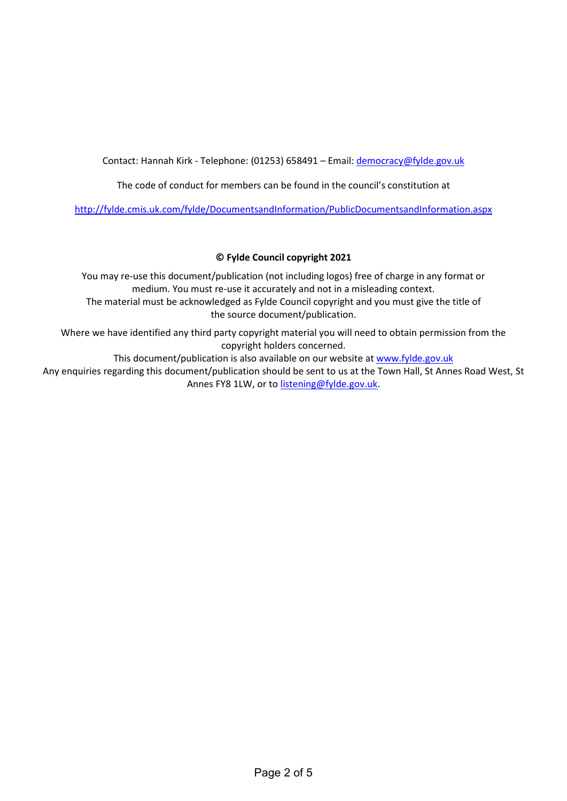Contact: Hannah Kirk - Telephone: (01253) 658491 – Email: [democracy@fylde.gov.uk](mailto:democracy@fylde.gov.uk)

The code of conduct for members can be found in the council's constitution at

<http://fylde.cmis.uk.com/fylde/DocumentsandInformation/PublicDocumentsandInformation.aspx>

## **© Fylde Council copyright 2021**

You may re-use this document/publication (not including logos) free of charge in any format or medium. You must re-use it accurately and not in a misleading context. The material must be acknowledged as Fylde Council copyright and you must give the title of the source document/publication.

Where we have identified any third party copyright material you will need to obtain permission from the copyright holders concerned.

This document/publication is also available on our website at [www.fylde.gov.uk](http://www.fylde.gov.uk/)

Any enquiries regarding this document/publication should be sent to us at the Town Hall, St Annes Road West, St Annes FY8 1LW, or to [listening@fylde.gov.uk.](mailto:listening@fylde.gov.uk)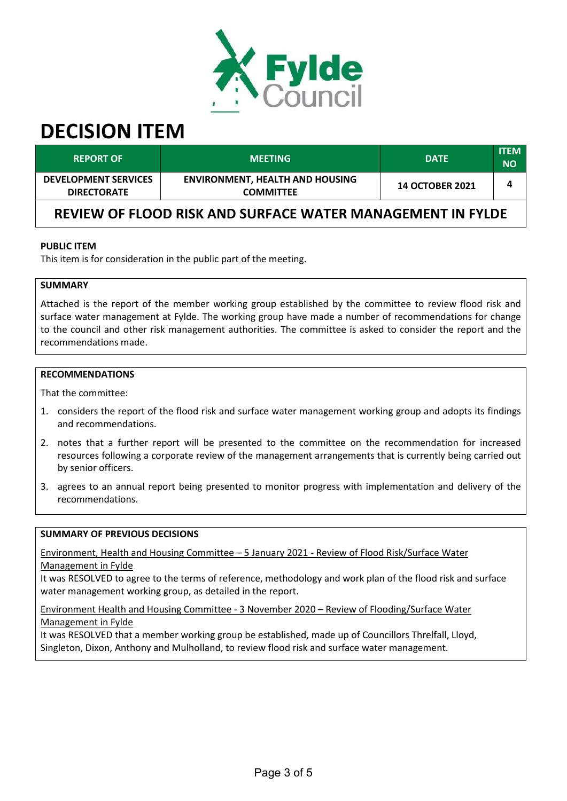

# <span id="page-2-0"></span>**DECISION ITEM**

| <b>REPORT OF</b>                                           | <b>MEETING</b>                                             | <b>DATE</b>            | <b>ITEM</b><br><b>NO</b> |  |  |
|------------------------------------------------------------|------------------------------------------------------------|------------------------|--------------------------|--|--|
| <b>DEVELOPMENT SERVICES</b><br><b>DIRECTORATE</b>          | <b>ENVIRONMENT, HEALTH AND HOUSING</b><br><b>COMMITTEE</b> | <b>14 OCTOBER 2021</b> | 4                        |  |  |
| REVIEW OF FLOOD RISK AND SURFACE WATER MANAGEMENT IN FYLDE |                                                            |                        |                          |  |  |

#### **PUBLIC ITEM**

This item is for consideration in the public part of the meeting.

#### **SUMMARY**

Attached is the report of the member working group established by the committee to review flood risk and surface water management at Fylde. The working group have made a number of recommendations for change to the council and other risk management authorities. The committee is asked to consider the report and the recommendations made.

## **RECOMMENDATIONS**

That the committee:

- 1. considers the report of the flood risk and surface water management working group and adopts its findings and recommendations.
- 2. notes that a further report will be presented to the committee on the recommendation for increased resources following a corporate review of the management arrangements that is currently being carried out by senior officers.
- 3. agrees to an annual report being presented to monitor progress with implementation and delivery of the recommendations.

#### **SUMMARY OF PREVIOUS DECISIONS**

Environment, Health and Housing Committee – 5 January 2021 - Review of Flood Risk/Surface Water Management in Fylde

It was RESOLVED to agree to the terms of reference, methodology and work plan of the flood risk and surface water management working group, as detailed in the report.

Environment Health and Housing Committee - 3 November 2020 – Review of Flooding/Surface Water Management in Fylde

It was RESOLVED that a member working group be established, made up of Councillors Threlfall, Lloyd, Singleton, Dixon, Anthony and Mulholland, to review flood risk and surface water management.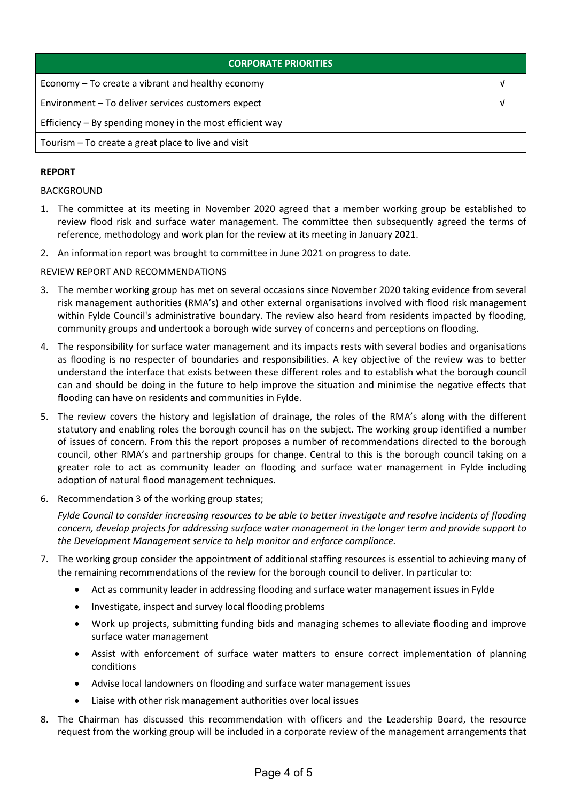| <b>CORPORATE PRIORITIES</b>                                |  |
|------------------------------------------------------------|--|
| Economy – To create a vibrant and healthy economy          |  |
| Environment - To deliver services customers expect         |  |
| Efficiency $-$ By spending money in the most efficient way |  |
| Tourism - To create a great place to live and visit        |  |

# **REPORT**

#### BACKGROUND

- 1. The committee at its meeting in November 2020 agreed that a member working group be established to review flood risk and surface water management. The committee then subsequently agreed the terms of reference, methodology and work plan for the review at its meeting in January 2021.
- 2. An information report was brought to committee in June 2021 on progress to date.

#### REVIEW REPORT AND RECOMMENDATIONS

- 3. The member working group has met on several occasions since November 2020 taking evidence from several risk management authorities (RMA's) and other external organisations involved with flood risk management within Fylde Council's administrative boundary. The review also heard from residents impacted by flooding, community groups and undertook a borough wide survey of concerns and perceptions on flooding.
- 4. The responsibility for surface water management and its impacts rests with several bodies and organisations as flooding is no respecter of boundaries and responsibilities. A key objective of the review was to better understand the interface that exists between these different roles and to establish what the borough council can and should be doing in the future to help improve the situation and minimise the negative effects that flooding can have on residents and communities in Fylde.
- 5. The review covers the history and legislation of drainage, the roles of the RMA's along with the different statutory and enabling roles the borough council has on the subject. The working group identified a number of issues of concern. From this the report proposes a number of recommendations directed to the borough council, other RMA's and partnership groups for change. Central to this is the borough council taking on a greater role to act as community leader on flooding and surface water management in Fylde including adoption of natural flood management techniques.
- 6. Recommendation 3 of the working group states;

*Fylde Council to consider increasing resources to be able to better investigate and resolve incidents of flooding concern, develop projects for addressing surface water management in the longer term and provide support to the Development Management service to help monitor and enforce compliance.*

- 7. The working group consider the appointment of additional staffing resources is essential to achieving many of the remaining recommendations of the review for the borough council to deliver. In particular to:
	- Act as community leader in addressing flooding and surface water management issues in Fylde
	- Investigate, inspect and survey local flooding problems
	- Work up projects, submitting funding bids and managing schemes to alleviate flooding and improve surface water management
	- Assist with enforcement of surface water matters to ensure correct implementation of planning conditions
	- Advise local landowners on flooding and surface water management issues
	- Liaise with other risk management authorities over local issues
- 8. The Chairman has discussed this recommendation with officers and the Leadership Board, the resource request from the working group will be included in a corporate review of the management arrangements that